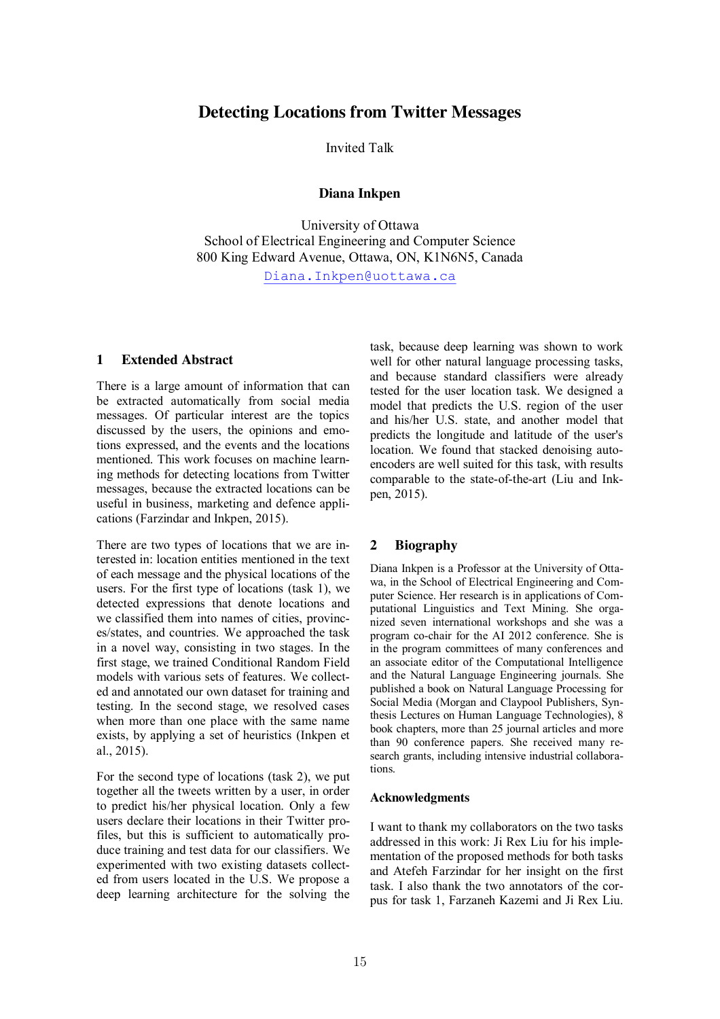# **Detecting Locations from Twitter Messages**

Invited Talk

### **Diana Inkpen**

University of Ottawa School of Electrical Engineering and Computer Science 800 King Edward Avenue, Ottawa, ON, K1N6N5, Canada

Diana.Inkpen@uottawa.ca

### **1 Extended Abstract**

There is a large amount of information that can be extracted automatically from social media messages. Of particular interest are the topics discussed by the users, the opinions and emotions expressed, and the events and the locations mentioned. This work focuses on machine learning methods for detecting locations from Twitter messages, because the extracted locations can be useful in business, marketing and defence applications (Farzindar and Inkpen, 2015).

There are two types of locations that we are interested in: location entities mentioned in the text of each message and the physical locations of the users. For the first type of locations (task 1), we detected expressions that denote locations and we classified them into names of cities, provinces/states, and countries. We approached the task in a novel way, consisting in two stages. In the first stage, we trained Conditional Random Field models with various sets of features. We collected and annotated our own dataset for training and testing. In the second stage, we resolved cases when more than one place with the same name exists, by applying a set of heuristics (Inkpen et al., 2015).

For the second type of locations (task 2), we put together all the tweets written by a user, in order to predict his/her physical location. Only a few users declare their locations in their Twitter profiles, but this is sufficient to automatically produce training and test data for our classifiers. We experimented with two existing datasets collected from users located in the U.S. We propose a deep learning architecture for the solving the task, because deep learning was shown to work well for other natural language processing tasks, and because standard classifiers were already tested for the user location task. We designed a model that predicts the U.S. region of the user and his/her U.S. state, and another model that predicts the longitude and latitude of the user's location. We found that stacked denoising autoencoders are well suited for this task, with results comparable to the state-of-the-art (Liu and Inkpen, 2015).

### **2 Biography**

Diana Inkpen is a Professor at the University of Ottawa, in the School of Electrical Engineering and Computer Science. Her research is in applications of Computational Linguistics and Text Mining. She organized seven international workshops and she was a program co-chair for the AI 2012 conference. She is in the program committees of many conferences and an associate editor of the Computational Intelligence and the Natural Language Engineering journals. She published a book on Natural Language Processing for Social Media (Morgan and Claypool Publishers, Synthesis Lectures on Human Language Technologies), 8 book chapters, more than 25 journal articles and more than 90 conference papers. She received many research grants, including intensive industrial collaborations.

#### **Acknowledgments**

I want to thank my collaborators on the two tasks addressed in this work: Ji Rex Liu for his implementation of the proposed methods for both tasks and Atefeh Farzindar for her insight on the first task. I also thank the two annotators of the corpus for task 1, Farzaneh Kazemi and Ji Rex Liu.